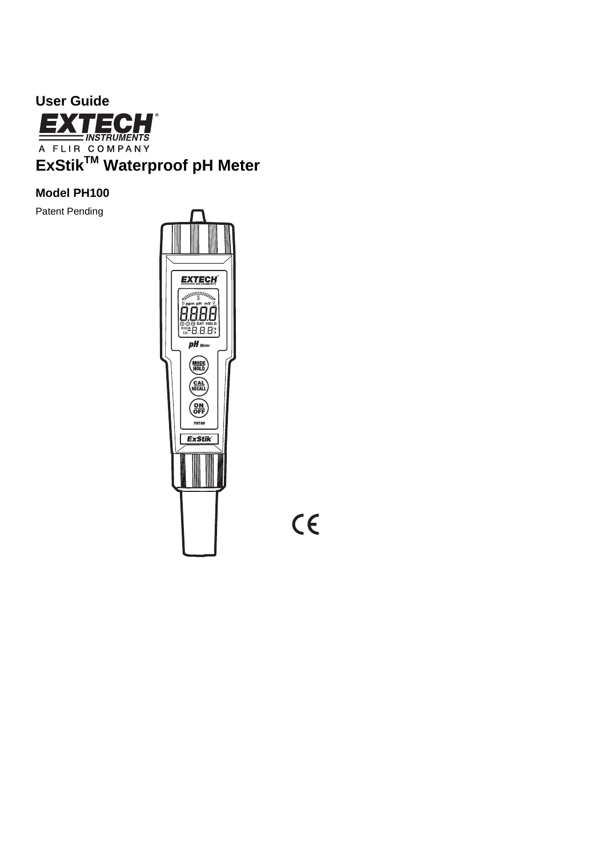

# **Model PH100**

Patent Pending



 $C\epsilon$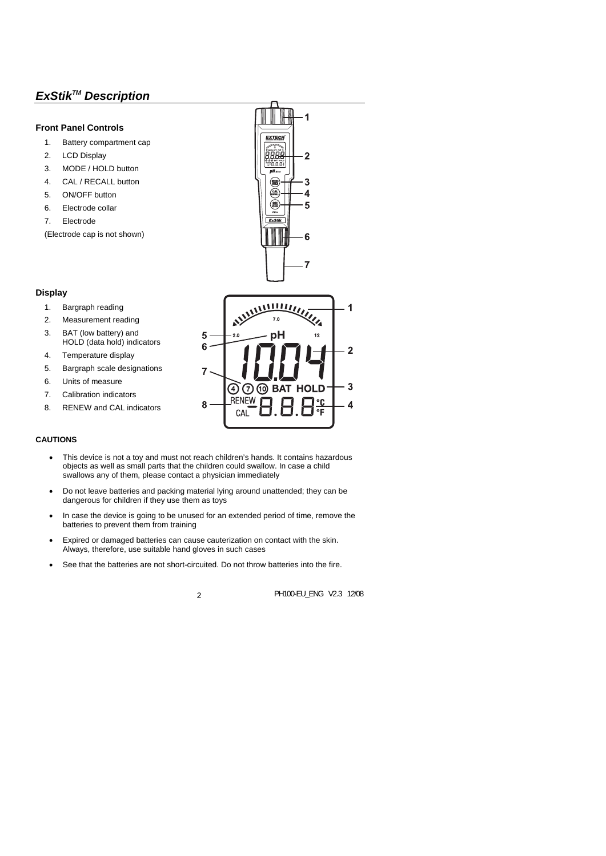# *ExStikTM Description*

# **Front Panel Controls**

- 1. Battery compartment cap
- 2. LCD Display
- 3. MODE / HOLD button
- 4. CAL / RECALL button
- 5. ON/OFF button
- 6. Electrode collar
- 7. Electrode

(Electrode cap is not shown)



# **Display**

- 1. Bargraph reading
- 2. Measurement reading
- 3. BAT (low battery) and HOLD (data hold) indicators
- 4. Temperature display
- 5. Bargraph scale designations
- 6. Units of measure
- 7. Calibration indicators
- 8. RENEW and CAL indicators



- This device is not a toy and must not reach children's hands. It contains hazardous objects as well as small parts that the children could swallow. In case a child swallows any of them, please contact a physician immediately
- Do not leave batteries and packing material lying around unattended; they can be dangerous for children if they use them as toys
- In case the device is going to be unused for an extended period of time, remove the batteries to prevent them from training
- Expired or damaged batteries can cause cauterization on contact with the skin. Always, therefore, use suitable hand gloves in such cases
- See that the batteries are not short-circuited. Do not throw batteries into the fire.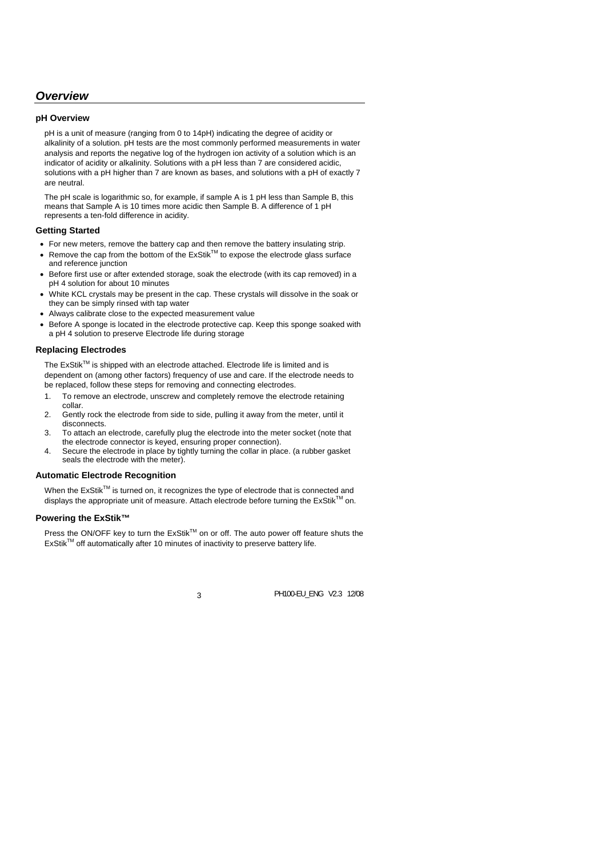# *Overview*

## **pH Overview**

pH is a unit of measure (ranging from 0 to 14pH) indicating the degree of acidity or alkalinity of a solution. pH tests are the most commonly performed measurements in water analysis and reports the negative log of the hydrogen ion activity of a solution which is an indicator of acidity or alkalinity. Solutions with a pH less than 7 are considered acidic, solutions with a pH higher than 7 are known as bases, and solutions with a pH of exactly 7 are neutral.

The pH scale is logarithmic so, for example, if sample A is 1 pH less than Sample B, this means that Sample A is 10 times more acidic then Sample B. A difference of 1 pH represents a ten-fold difference in acidity.

## **Getting Started**

- For new meters, remove the battery cap and then remove the battery insulating strip.
- Remove the cap from the bottom of the  $ExStik^{TM}$  to expose the electrode glass surface and reference junction
- Before first use or after extended storage, soak the electrode (with its cap removed) in a pH 4 solution for about 10 minutes
- White KCL crystals may be present in the cap. These crystals will dissolve in the soak or they can be simply rinsed with tap water
- Always calibrate close to the expected measurement value
- Before A sponge is located in the electrode protective cap. Keep this sponge soaked with a pH 4 solution to preserve Electrode life during storage

## **Replacing Electrodes**

The ExStik™ is shipped with an electrode attached. Electrode life is limited and is dependent on (among other factors) frequency of use and care. If the electrode needs to be replaced, follow these steps for removing and connecting electrodes.

- 1. To remove an electrode, unscrew and completely remove the electrode retaining collar.
- 2. Gently rock the electrode from side to side, pulling it away from the meter, until it disconnects.
- 3. To attach an electrode, carefully plug the electrode into the meter socket (note that the electrode connector is keyed, ensuring proper connection).
- 4. Secure the electrode in place by tightly turning the collar in place. (a rubber gasket seals the electrode with the meter).

## **Automatic Electrode Recognition**

When the ExStik<sup>TM</sup> is turned on, it recognizes the type of electrode that is connected and displays the appropriate unit of measure. Attach electrode before turning the  $ExStik^{\mathbb{M}}$  on.

## **Powering the ExStik™**

Press the ON/OFF key to turn the ExStik™ on or off. The auto power off feature shuts the ExStik™ off automatically after 10 minutes of inactivity to preserve battery life.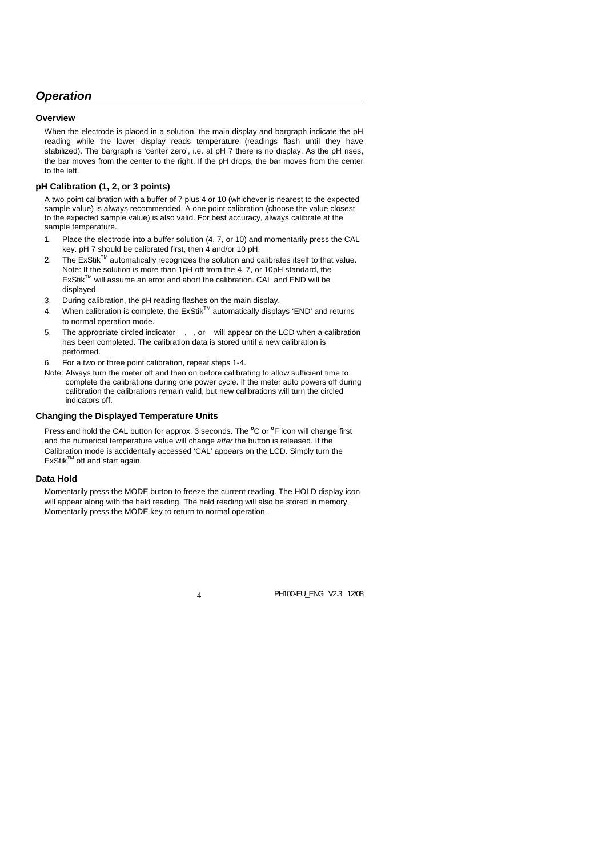# *Operation*

## **Overview**

When the electrode is placed in a solution, the main display and bargraph indicate the pH reading while the lower display reads temperature (readings flash until they have stabilized). The bargraph is 'center zero', i.e. at pH 7 there is no display. As the pH rises, the bar moves from the center to the right. If the pH drops, the bar moves from the center to the left.

# **pH Calibration (1, 2, or 3 points)**

A two point calibration with a buffer of 7 plus 4 or 10 (whichever is nearest to the expected sample value) is always recommended. A one point calibration (choose the value closest to the expected sample value) is also valid. For best accuracy, always calibrate at the sample temperature.

- 1. Place the electrode into a buffer solution (4, 7, or 10) and momentarily press the CAL key. pH 7 should be calibrated first, then 4 and/or 10 pH.
- 2. The  $ExStik^{TM}$  automatically recognizes the solution and calibrates itself to that value. Note: If the solution is more than 1pH off from the 4, 7, or 10pH standard, the ExStikTM will assume an error and abort the calibration. CAL and END will be displayed.
- 3. During calibration, the pH reading flashes on the main display.
- 4. When calibration is complete, the ExStikTM automatically displays 'END' and returns to normal operation mode.
- 5. The appropriate circled indicator ,, or will appear on the LCD when a calibration has been completed. The calibration data is stored until a new calibration is performed.
- 6. For a two or three point calibration, repeat steps 1-4.
- Note: Always turn the meter off and then on before calibrating to allow sufficient time to complete the calibrations during one power cycle. If the meter auto powers off during calibration the calibrations remain valid, but new calibrations will turn the circled indicators off.

## **Changing the Displayed Temperature Units**

Press and hold the CAL button for approx. 3 seconds. The <sup>o</sup>C or <sup>o</sup>F icon will change first and the numerical temperature value will change *after* the button is released. If the Calibration mode is accidentally accessed 'CAL' appears on the LCD. Simply turn the  $ExStik^{\text{TM}}$  off and start again.

## **Data Hold**

Momentarily press the MODE button to freeze the current reading. The HOLD display icon will appear along with the held reading. The held reading will also be stored in memory. Momentarily press the MODE key to return to normal operation.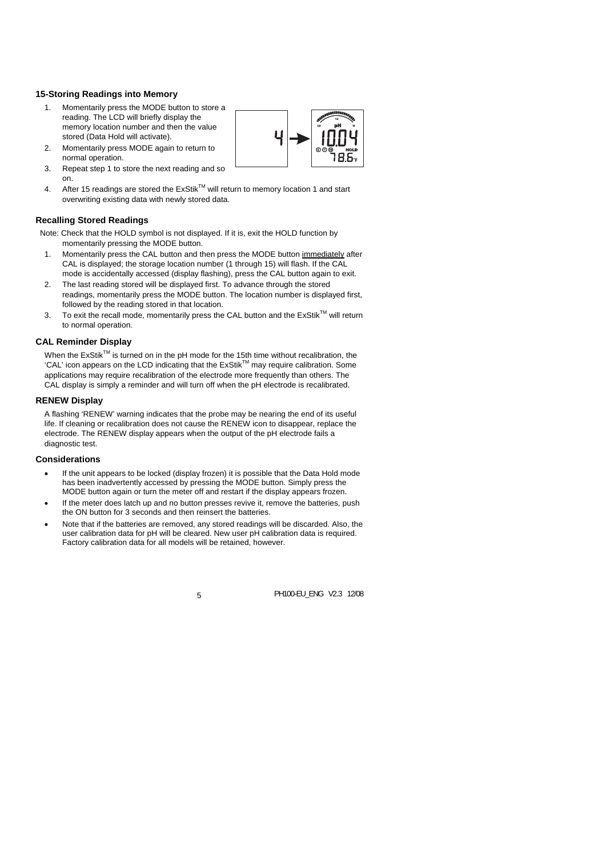# **15-Storing Readings into Memory**

- 1. Momentarily press the MODE button to store a reading. The LCD will briefly display the memory location number and then the value stored (Data Hold will activate).
- 2. Momentarily press MODE again to return to normal operation.



- 3. Repeat step 1 to store the next reading and so on.
- 4. After 15 readings are stored the ExStik™ will return to memory location 1 and start overwriting existing data with newly stored data.

# **Recalling Stored Readings**

- Note: Check that the HOLD symbol is not displayed. If it is, exit the HOLD function by momentarily pressing the MODE button.
	- 1. Momentarily press the CAL button and then press the MODE button immediately after CAL is displayed; the storage location number (1 through 15) will flash. If the CAL mode is accidentally accessed (display flashing), press the CAL button again to exit.
	- 2. The last reading stored will be displayed first. To advance through the stored readings, momentarily press the MODE button. The location number is displayed first, followed by the reading stored in that location.
	- 3. To exit the recall mode, momentarily press the CAL button and the  $ExStik^{TM}$  will return to normal operation.

# **CAL Reminder Display**

When the ExStik™ is turned on in the pH mode for the 15th time without recalibration, the 'CAL' icon appears on the LCD indicating that the ExStikTM may require calibration. Some applications may require recalibration of the electrode more frequently than others. The CAL display is simply a reminder and will turn off when the pH electrode is recalibrated.

## **RENEW Display**

A flashing 'RENEW' warning indicates that the probe may be nearing the end of its useful life. If cleaning or recalibration does not cause the RENEW icon to disappear, replace the electrode. The RENEW display appears when the output of the pH electrode fails a diagnostic test.

## **Considerations**

- If the unit appears to be locked (display frozen) it is possible that the Data Hold mode has been inadvertently accessed by pressing the MODE button. Simply press the MODE button again or turn the meter off and restart if the display appears frozen.
- If the meter does latch up and no button presses revive it, remove the batteries, push the ON button for 3 seconds and then reinsert the batteries.
- Note that if the batteries are removed, any stored readings will be discarded. Also, the user calibration data for pH will be cleared. New user pH calibration data is required. Factory calibration data for all models will be retained, however.